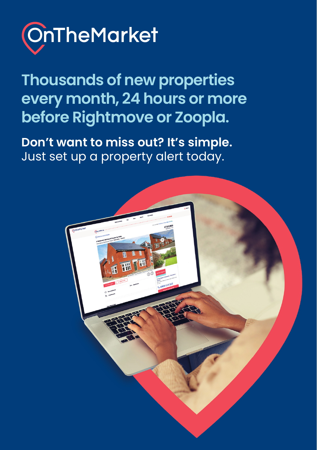

**Thousands of new properties every month, 24 hours or more before Rightmove or Zoopla.** 

**Don't want to miss out? It's simple.** Just set up a property alert today.